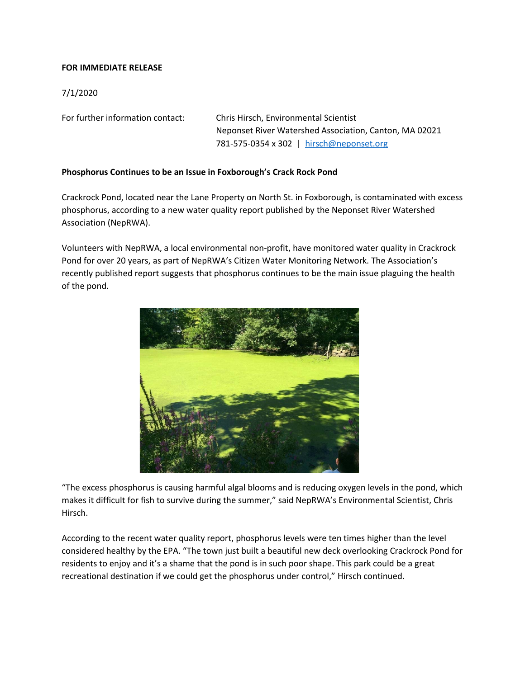## **FOR IMMEDIATE RELEASE**

## 7/1/2020

For further information contact: Chris Hirsch, Environmental Scientist

Neponset River Watershed Association, Canton, MA 02021 781-575-0354 x 302 | [hirsch@neponset.org](about:blank)

## **Phosphorus Continues to be an Issue in Foxborough's Crack Rock Pond**

Crackrock Pond, located near the Lane Property on North St. in Foxborough, is contaminated with excess phosphorus, according to a new water quality report published by the Neponset River Watershed Association (NepRWA).

Volunteers with NepRWA, a local environmental non-profit, have monitored water quality in Crackrock Pond for over 20 years, as part of NepRWA's Citizen Water Monitoring Network. The Association's recently published report suggests that phosphorus continues to be the main issue plaguing the health of the pond.



"The excess phosphorus is causing harmful algal blooms and is reducing oxygen levels in the pond, which makes it difficult for fish to survive during the summer," said NepRWA's Environmental Scientist, Chris Hirsch.

According to the recent water quality report, phosphorus levels were ten times higher than the level considered healthy by the EPA. "The town just built a beautiful new deck overlooking Crackrock Pond for residents to enjoy and it's a shame that the pond is in such poor shape. This park could be a great recreational destination if we could get the phosphorus under control," Hirsch continued.